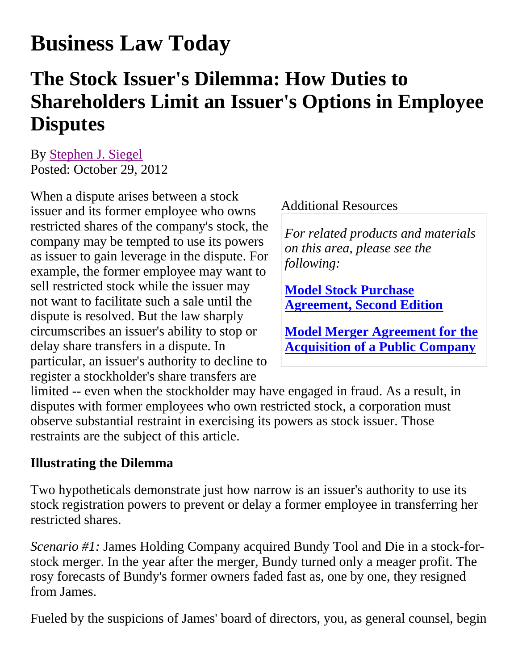# **Business Law Today**

## **The Stock Issuer's Dilemma: How Duties to Shareholders Limit an Issuer's Options in Employee Disputes**

By Stephen J. Siegel Posted: October 29, 2012

When a dispute arises between a stock issuer and its former employee who owns restricted shares of the company's stock, the company may be tempted to use its powers as issuer to gain leverage in the dispute. For example, the former employee may want to sell restricted stock while the issuer may not want to facilitate such a sale until the dispute is resolved. But the law sharply circumscribes an issuer's ability to stop or delay share transfers in a dispute. In particular, an issuer's authority to decline to register a stockholder's share transfers are

#### Additional Resources

*For related products and materials on this area, please see the following:*

**Model Stock Purchase Agreement, Second Edition**

**Model Merger Agreement for the Acquisition of a Public Company**

limited -- even when the stockholder may have engaged in fraud. As a result, in disputes with former employees who own restricted stock, a corporation must observe substantial restraint in exercising its powers as stock issuer. Those restraints are the subject of this article.

#### **Illustrating the Dilemma**

Two hypotheticals demonstrate just how narrow is an issuer's authority to use its stock registration powers to prevent or delay a former employee in transferring her restricted shares.

*Scenario #1:* James Holding Company acquired Bundy Tool and Die in a stock-forstock merger. In the year after the merger, Bundy turned only a meager profit. The rosy forecasts of Bundy's former owners faded fast as, one by one, they resigned from James.

Fueled by the suspicions of James' board of directors, you, as general counsel, begin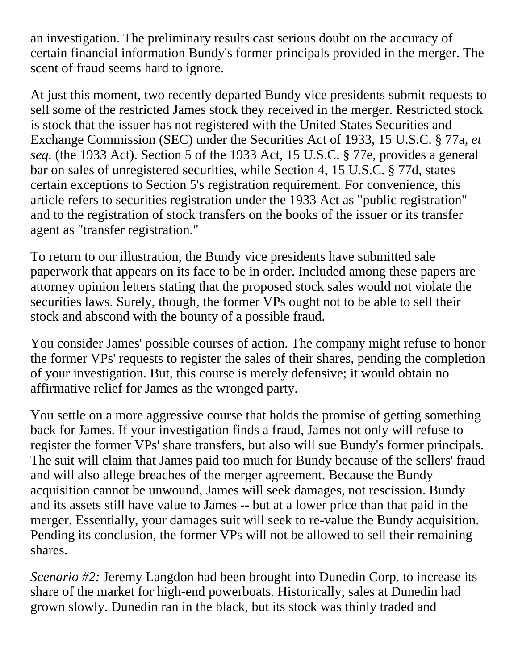an investigation. The preliminary results cast serious doubt on the accuracy of certain financial information Bundy's former principals provided in the merger. The scent of fraud seems hard to ignore.

At just this moment, two recently departed Bundy vice presidents submit requests to sell some of the restricted James stock they received in the merger. Restricted stock is stock that the issuer has not registered with the United States Securities and Exchange Commission (SEC) under the Securities Act of 1933, 15 U.S.C. § 77a, *et seq.* (the 1933 Act). Section 5 of the 1933 Act, 15 U.S.C. § 77e, provides a general bar on sales of unregistered securities, while Section 4, 15 U.S.C. § 77d, states certain exceptions to Section 5's registration requirement. For convenience, this article refers to securities registration under the 1933 Act as "public registration" and to the registration of stock transfers on the books of the issuer or its transfer agent as "transfer registration."

To return to our illustration, the Bundy vice presidents have submitted sale paperwork that appears on its face to be in order. Included among these papers are attorney opinion letters stating that the proposed stock sales would not violate the securities laws. Surely, though, the former VPs ought not to be able to sell their stock and abscond with the bounty of a possible fraud.

You consider James' possible courses of action. The company might refuse to honor the former VPs' requests to register the sales of their shares, pending the completion of your investigation. But, this course is merely defensive; it would obtain no affirmative relief for James as the wronged party.

You settle on a more aggressive course that holds the promise of getting something back for James. If your investigation finds a fraud, James not only will refuse to register the former VPs' share transfers, but also will sue Bundy's former principals. The suit will claim that James paid too much for Bundy because of the sellers' fraud and will also allege breaches of the merger agreement. Because the Bundy acquisition cannot be unwound, James will seek damages, not rescission. Bundy and its assets still have value to James -- but at a lower price than that paid in the merger. Essentially, your damages suit will seek to re-value the Bundy acquisition. Pending its conclusion, the former VPs will not be allowed to sell their remaining shares.

*Scenario #2:* Jeremy Langdon had been brought into Dunedin Corp. to increase its share of the market for high-end powerboats. Historically, sales at Dunedin had grown slowly. Dunedin ran in the black, but its stock was thinly traded and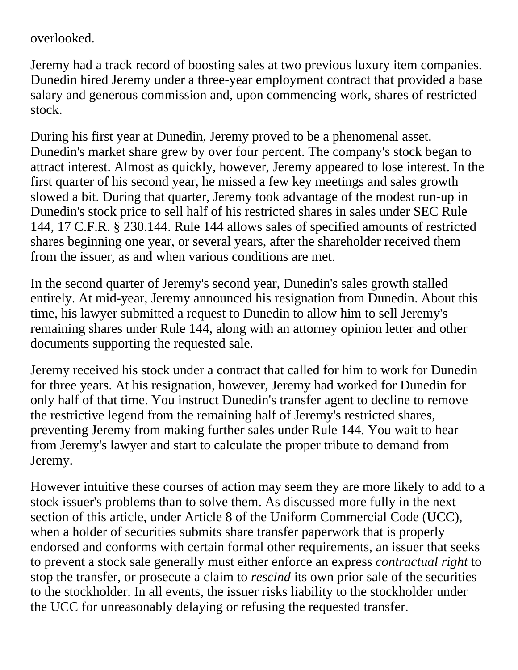overlooked.

Jeremy had a track record of boosting sales at two previous luxury item companies. Dunedin hired Jeremy under a three-year employment contract that provided a base salary and generous commission and, upon commencing work, shares of restricted stock.

During his first year at Dunedin, Jeremy proved to be a phenomenal asset. Dunedin's market share grew by over four percent. The company's stock began to attract interest. Almost as quickly, however, Jeremy appeared to lose interest. In the first quarter of his second year, he missed a few key meetings and sales growth slowed a bit. During that quarter, Jeremy took advantage of the modest run-up in Dunedin's stock price to sell half of his restricted shares in sales under SEC Rule 144, 17 C.F.R. § 230.144. Rule 144 allows sales of specified amounts of restricted shares beginning one year, or several years, after the shareholder received them from the issuer, as and when various conditions are met.

In the second quarter of Jeremy's second year, Dunedin's sales growth stalled entirely. At mid-year, Jeremy announced his resignation from Dunedin. About this time, his lawyer submitted a request to Dunedin to allow him to sell Jeremy's remaining shares under Rule 144, along with an attorney opinion letter and other documents supporting the requested sale.

Jeremy received his stock under a contract that called for him to work for Dunedin for three years. At his resignation, however, Jeremy had worked for Dunedin for only half of that time. You instruct Dunedin's transfer agent to decline to remove the restrictive legend from the remaining half of Jeremy's restricted shares, preventing Jeremy from making further sales under Rule 144. You wait to hear from Jeremy's lawyer and start to calculate the proper tribute to demand from Jeremy.

However intuitive these courses of action may seem they are more likely to add to a stock issuer's problems than to solve them. As discussed more fully in the next section of this article, under Article 8 of the Uniform Commercial Code (UCC), when a holder of securities submits share transfer paperwork that is properly endorsed and conforms with certain formal other requirements, an issuer that seeks to prevent a stock sale generally must either enforce an express *contractual right* to stop the transfer, or prosecute a claim to *rescind* its own prior sale of the securities to the stockholder. In all events, the issuer risks liability to the stockholder under the UCC for unreasonably delaying or refusing the requested transfer.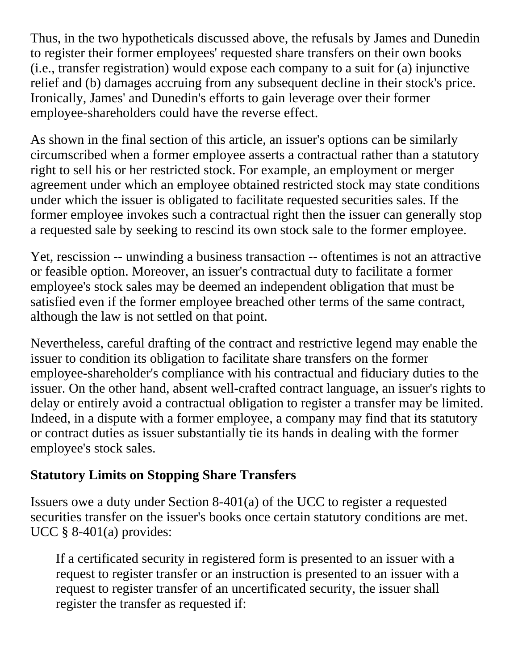Thus, in the two hypotheticals discussed above, the refusals by James and Dunedin to register their former employees' requested share transfers on their own books (i.e., transfer registration) would expose each company to a suit for (a) injunctive relief and (b) damages accruing from any subsequent decline in their stock's price. Ironically, James' and Dunedin's efforts to gain leverage over their former employee-shareholders could have the reverse effect.

As shown in the final section of this article, an issuer's options can be similarly circumscribed when a former employee asserts a contractual rather than a statutory right to sell his or her restricted stock. For example, an employment or merger agreement under which an employee obtained restricted stock may state conditions under which the issuer is obligated to facilitate requested securities sales. If the former employee invokes such a contractual right then the issuer can generally stop a requested sale by seeking to rescind its own stock sale to the former employee.

Yet, rescission -- unwinding a business transaction -- oftentimes is not an attractive or feasible option. Moreover, an issuer's contractual duty to facilitate a former employee's stock sales may be deemed an independent obligation that must be satisfied even if the former employee breached other terms of the same contract, although the law is not settled on that point.

Nevertheless, careful drafting of the contract and restrictive legend may enable the issuer to condition its obligation to facilitate share transfers on the former employee-shareholder's compliance with his contractual and fiduciary duties to the issuer. On the other hand, absent well-crafted contract language, an issuer's rights to delay or entirely avoid a contractual obligation to register a transfer may be limited. Indeed, in a dispute with a former employee, a company may find that its statutory or contract duties as issuer substantially tie its hands in dealing with the former employee's stock sales.

#### **Statutory Limits on Stopping Share Transfers**

Issuers owe a duty under Section 8-401(a) of the UCC to register a requested securities transfer on the issuer's books once certain statutory conditions are met. UCC § 8-401(a) provides:

If a certificated security in registered form is presented to an issuer with a request to register transfer or an instruction is presented to an issuer with a request to register transfer of an uncertificated security, the issuer shall register the transfer as requested if: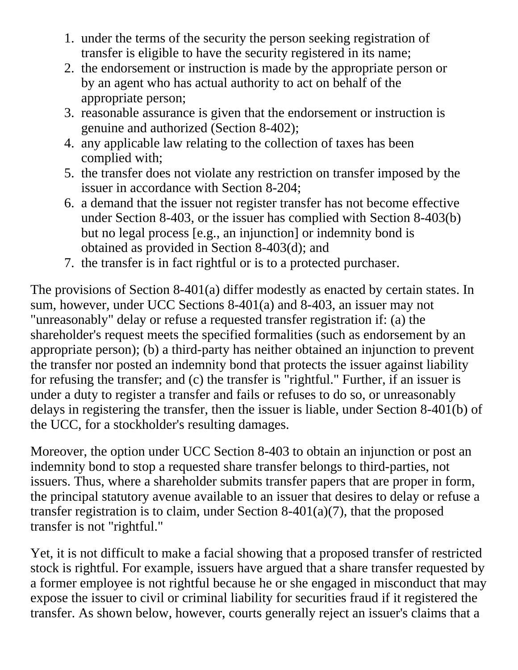- 1. under the terms of the security the person seeking registration of transfer is eligible to have the security registered in its name;
- 2. the endorsement or instruction is made by the appropriate person or by an agent who has actual authority to act on behalf of the appropriate person;
- 3. reasonable assurance is given that the endorsement or instruction is genuine and authorized (Section 8-402);
- 4. any applicable law relating to the collection of taxes has been complied with;
- 5. the transfer does not violate any restriction on transfer imposed by the issuer in accordance with Section 8-204;
- 6. a demand that the issuer not register transfer has not become effective under Section 8-403, or the issuer has complied with Section 8-403(b) but no legal process [e.g., an injunction] or indemnity bond is obtained as provided in Section 8-403(d); and
- 7. the transfer is in fact rightful or is to a protected purchaser.

The provisions of Section 8-401(a) differ modestly as enacted by certain states. In sum, however, under UCC Sections 8-401(a) and 8-403, an issuer may not "unreasonably" delay or refuse a requested transfer registration if: (a) the shareholder's request meets the specified formalities (such as endorsement by an appropriate person); (b) a third-party has neither obtained an injunction to prevent the transfer nor posted an indemnity bond that protects the issuer against liability for refusing the transfer; and (c) the transfer is "rightful." Further, if an issuer is under a duty to register a transfer and fails or refuses to do so, or unreasonably delays in registering the transfer, then the issuer is liable, under Section 8-401(b) of the UCC, for a stockholder's resulting damages.

Moreover, the option under UCC Section 8-403 to obtain an injunction or post an indemnity bond to stop a requested share transfer belongs to third-parties, not issuers. Thus, where a shareholder submits transfer papers that are proper in form, the principal statutory avenue available to an issuer that desires to delay or refuse a transfer registration is to claim, under Section 8-401(a)(7), that the proposed transfer is not "rightful."

Yet, it is not difficult to make a facial showing that a proposed transfer of restricted stock is rightful. For example, issuers have argued that a share transfer requested by a former employee is not rightful because he or she engaged in misconduct that may expose the issuer to civil or criminal liability for securities fraud if it registered the transfer. As shown below, however, courts generally reject an issuer's claims that a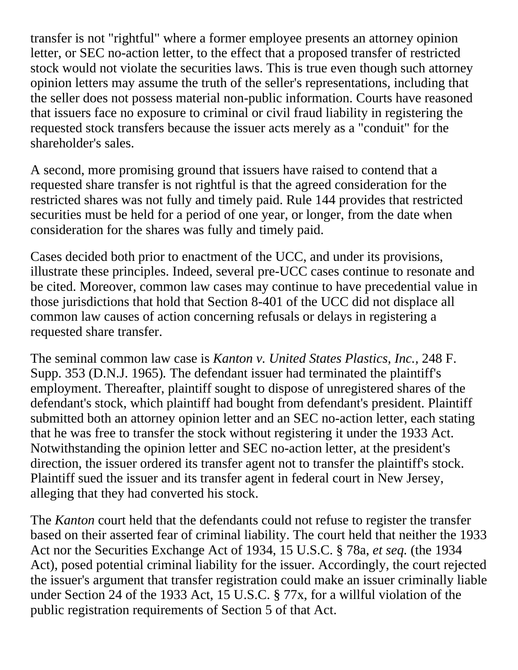transfer is not "rightful" where a former employee presents an attorney opinion letter, or SEC no-action letter, to the effect that a proposed transfer of restricted stock would not violate the securities laws. This is true even though such attorney opinion letters may assume the truth of the seller's representations, including that the seller does not possess material non-public information. Courts have reasoned that issuers face no exposure to criminal or civil fraud liability in registering the requested stock transfers because the issuer acts merely as a "conduit" for the shareholder's sales.

A second, more promising ground that issuers have raised to contend that a requested share transfer is not rightful is that the agreed consideration for the restricted shares was not fully and timely paid. Rule 144 provides that restricted securities must be held for a period of one year, or longer, from the date when consideration for the shares was fully and timely paid.

Cases decided both prior to enactment of the UCC, and under its provisions, illustrate these principles. Indeed, several pre-UCC cases continue to resonate and be cited. Moreover, common law cases may continue to have precedential value in those jurisdictions that hold that Section 8-401 of the UCC did not displace all common law causes of action concerning refusals or delays in registering a requested share transfer.

The seminal common law case is *Kanton v. United States Plastics, Inc.,* 248 F. Supp. 353 (D.N.J. 1965)*.* The defendant issuer had terminated the plaintiff's employment. Thereafter, plaintiff sought to dispose of unregistered shares of the defendant's stock, which plaintiff had bought from defendant's president. Plaintiff submitted both an attorney opinion letter and an SEC no-action letter, each stating that he was free to transfer the stock without registering it under the 1933 Act. Notwithstanding the opinion letter and SEC no-action letter, at the president's direction, the issuer ordered its transfer agent not to transfer the plaintiff's stock. Plaintiff sued the issuer and its transfer agent in federal court in New Jersey, alleging that they had converted his stock.

The *Kanton* court held that the defendants could not refuse to register the transfer based on their asserted fear of criminal liability. The court held that neither the 1933 Act nor the Securities Exchange Act of 1934, 15 U.S.C. § 78a, *et seq.* (the 1934 Act), posed potential criminal liability for the issuer. Accordingly, the court rejected the issuer's argument that transfer registration could make an issuer criminally liable under Section 24 of the 1933 Act, 15 U.S.C. § 77x, for a willful violation of the public registration requirements of Section 5 of that Act.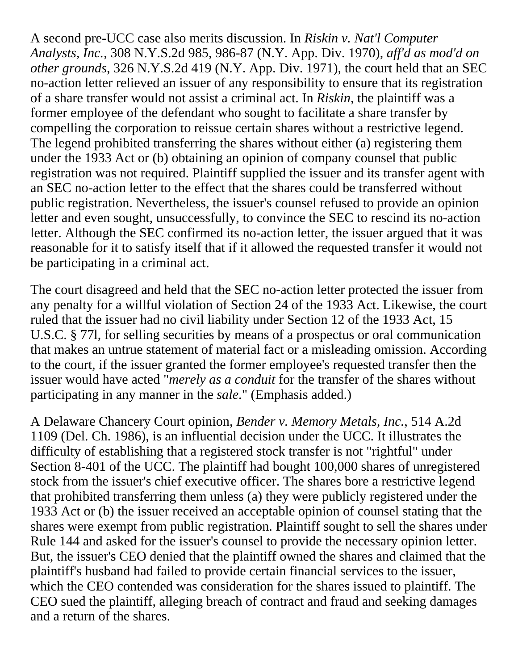A second pre-UCC case also merits discussion. In *Riskin v. Nat'l Computer Analysts, Inc.*, 308 N.Y.S.2d 985, 986-87 (N.Y. App. Div. 1970), *aff'd as mod'd on other grounds*, 326 N.Y.S.2d 419 (N.Y. App. Div. 1971), the court held that an SEC no-action letter relieved an issuer of any responsibility to ensure that its registration of a share transfer would not assist a criminal act. In *Riskin*, the plaintiff was a former employee of the defendant who sought to facilitate a share transfer by compelling the corporation to reissue certain shares without a restrictive legend. The legend prohibited transferring the shares without either (a) registering them under the 1933 Act or (b) obtaining an opinion of company counsel that public registration was not required. Plaintiff supplied the issuer and its transfer agent with an SEC no-action letter to the effect that the shares could be transferred without public registration. Nevertheless, the issuer's counsel refused to provide an opinion letter and even sought, unsuccessfully, to convince the SEC to rescind its no-action letter. Although the SEC confirmed its no-action letter, the issuer argued that it was reasonable for it to satisfy itself that if it allowed the requested transfer it would not be participating in a criminal act.

The court disagreed and held that the SEC no-action letter protected the issuer from any penalty for a willful violation of Section 24 of the 1933 Act. Likewise, the court ruled that the issuer had no civil liability under Section 12 of the 1933 Act, 15 U.S.C. § 77l, for selling securities by means of a prospectus or oral communication that makes an untrue statement of material fact or a misleading omission. According to the court, if the issuer granted the former employee's requested transfer then the issuer would have acted "*merely as a conduit* for the transfer of the shares without participating in any manner in the *sale*." (Emphasis added.)

A Delaware Chancery Court opinion, *Bender v. Memory Metals, Inc.*, 514 A.2d 1109 (Del. Ch. 1986), is an influential decision under the UCC. It illustrates the difficulty of establishing that a registered stock transfer is not "rightful" under Section 8-401 of the UCC. The plaintiff had bought 100,000 shares of unregistered stock from the issuer's chief executive officer. The shares bore a restrictive legend that prohibited transferring them unless (a) they were publicly registered under the 1933 Act or (b) the issuer received an acceptable opinion of counsel stating that the shares were exempt from public registration. Plaintiff sought to sell the shares under Rule 144 and asked for the issuer's counsel to provide the necessary opinion letter. But, the issuer's CEO denied that the plaintiff owned the shares and claimed that the plaintiff's husband had failed to provide certain financial services to the issuer, which the CEO contended was consideration for the shares issued to plaintiff. The CEO sued the plaintiff, alleging breach of contract and fraud and seeking damages and a return of the shares.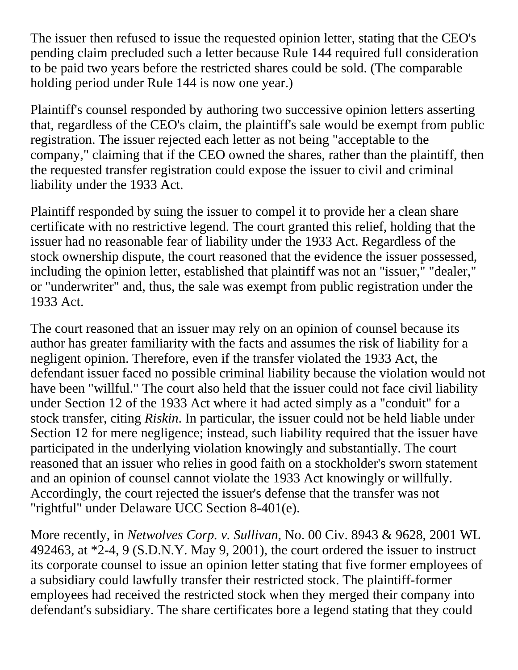The issuer then refused to issue the requested opinion letter, stating that the CEO's pending claim precluded such a letter because Rule 144 required full consideration to be paid two years before the restricted shares could be sold. (The comparable holding period under Rule 144 is now one year.)

Plaintiff's counsel responded by authoring two successive opinion letters asserting that, regardless of the CEO's claim, the plaintiff's sale would be exempt from public registration. The issuer rejected each letter as not being "acceptable to the company," claiming that if the CEO owned the shares, rather than the plaintiff, then the requested transfer registration could expose the issuer to civil and criminal liability under the 1933 Act.

Plaintiff responded by suing the issuer to compel it to provide her a clean share certificate with no restrictive legend. The court granted this relief, holding that the issuer had no reasonable fear of liability under the 1933 Act. Regardless of the stock ownership dispute, the court reasoned that the evidence the issuer possessed, including the opinion letter, established that plaintiff was not an "issuer," "dealer," or "underwriter" and, thus, the sale was exempt from public registration under the 1933 Act.

The court reasoned that an issuer may rely on an opinion of counsel because its author has greater familiarity with the facts and assumes the risk of liability for a negligent opinion. Therefore, even if the transfer violated the 1933 Act, the defendant issuer faced no possible criminal liability because the violation would not have been "willful." The court also held that the issuer could not face civil liability under Section 12 of the 1933 Act where it had acted simply as a "conduit" for a stock transfer, citing *Riskin*. In particular, the issuer could not be held liable under Section 12 for mere negligence; instead, such liability required that the issuer have participated in the underlying violation knowingly and substantially. The court reasoned that an issuer who relies in good faith on a stockholder's sworn statement and an opinion of counsel cannot violate the 1933 Act knowingly or willfully. Accordingly, the court rejected the issuer's defense that the transfer was not "rightful" under Delaware UCC Section 8-401(e).

More recently, in *Netwolves Corp. v. Sullivan*, No. 00 Civ. 8943 & 9628, 2001 WL 492463, at  $*2-4$ , 9 (S.D.N.Y. May 9, 2001), the court ordered the issuer to instruct its corporate counsel to issue an opinion letter stating that five former employees of a subsidiary could lawfully transfer their restricted stock. The plaintiff-former employees had received the restricted stock when they merged their company into defendant's subsidiary. The share certificates bore a legend stating that they could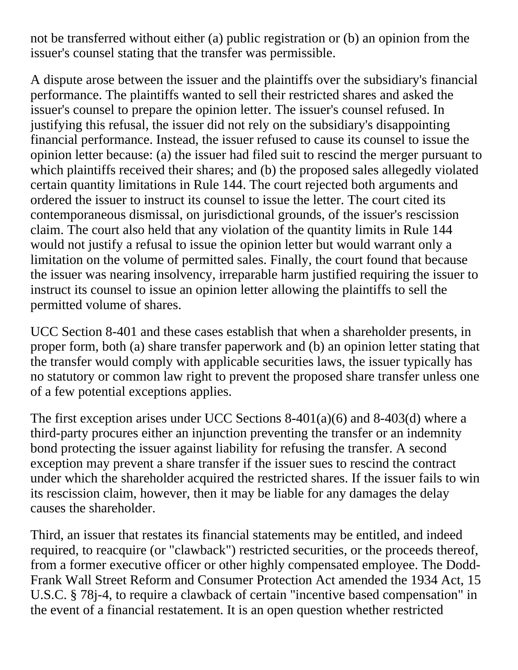not be transferred without either (a) public registration or (b) an opinion from the issuer's counsel stating that the transfer was permissible.

A dispute arose between the issuer and the plaintiffs over the subsidiary's financial performance. The plaintiffs wanted to sell their restricted shares and asked the issuer's counsel to prepare the opinion letter. The issuer's counsel refused. In justifying this refusal, the issuer did not rely on the subsidiary's disappointing financial performance. Instead, the issuer refused to cause its counsel to issue the opinion letter because: (a) the issuer had filed suit to rescind the merger pursuant to which plaintiffs received their shares; and (b) the proposed sales allegedly violated certain quantity limitations in Rule 144. The court rejected both arguments and ordered the issuer to instruct its counsel to issue the letter. The court cited its contemporaneous dismissal, on jurisdictional grounds, of the issuer's rescission claim. The court also held that any violation of the quantity limits in Rule 144 would not justify a refusal to issue the opinion letter but would warrant only a limitation on the volume of permitted sales. Finally, the court found that because the issuer was nearing insolvency, irreparable harm justified requiring the issuer to instruct its counsel to issue an opinion letter allowing the plaintiffs to sell the permitted volume of shares.

UCC Section 8-401 and these cases establish that when a shareholder presents, in proper form, both (a) share transfer paperwork and (b) an opinion letter stating that the transfer would comply with applicable securities laws, the issuer typically has no statutory or common law right to prevent the proposed share transfer unless one of a few potential exceptions applies.

The first exception arises under UCC Sections 8-401(a)(6) and 8-403(d) where a third-party procures either an injunction preventing the transfer or an indemnity bond protecting the issuer against liability for refusing the transfer. A second exception may prevent a share transfer if the issuer sues to rescind the contract under which the shareholder acquired the restricted shares. If the issuer fails to win its rescission claim, however, then it may be liable for any damages the delay causes the shareholder.

Third, an issuer that restates its financial statements may be entitled, and indeed required, to reacquire (or "clawback") restricted securities, or the proceeds thereof, from a former executive officer or other highly compensated employee. The Dodd-Frank Wall Street Reform and Consumer Protection Act amended the 1934 Act, 15 U.S.C. § 78j-4, to require a clawback of certain "incentive based compensation" in the event of a financial restatement. It is an open question whether restricted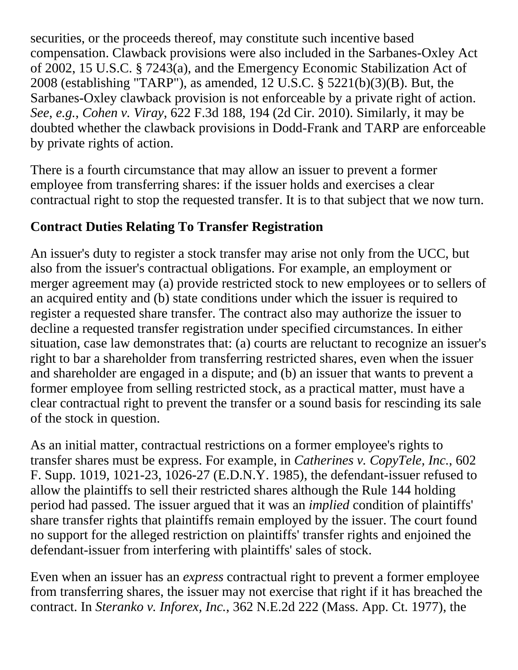securities, or the proceeds thereof, may constitute such incentive based compensation. Clawback provisions were also included in the Sarbanes-Oxley Act of 2002, 15 U.S.C. § 7243(a), and the Emergency Economic Stabilization Act of 2008 (establishing "TARP"), as amended, 12 U.S.C. § 5221(b)(3)(B). But, the Sarbanes-Oxley clawback provision is not enforceable by a private right of action. *See*, *e.g.*, *Cohen v. Viray*, 622 F.3d 188, 194 (2d Cir. 2010). Similarly, it may be doubted whether the clawback provisions in Dodd-Frank and TARP are enforceable by private rights of action.

There is a fourth circumstance that may allow an issuer to prevent a former employee from transferring shares: if the issuer holds and exercises a clear contractual right to stop the requested transfer. It is to that subject that we now turn.

#### **Contract Duties Relating To Transfer Registration**

An issuer's duty to register a stock transfer may arise not only from the UCC, but also from the issuer's contractual obligations. For example, an employment or merger agreement may (a) provide restricted stock to new employees or to sellers of an acquired entity and (b) state conditions under which the issuer is required to register a requested share transfer. The contract also may authorize the issuer to decline a requested transfer registration under specified circumstances. In either situation, case law demonstrates that: (a) courts are reluctant to recognize an issuer's right to bar a shareholder from transferring restricted shares, even when the issuer and shareholder are engaged in a dispute; and (b) an issuer that wants to prevent a former employee from selling restricted stock, as a practical matter, must have a clear contractual right to prevent the transfer or a sound basis for rescinding its sale of the stock in question.

As an initial matter, contractual restrictions on a former employee's rights to transfer shares must be express. For example, in *Catherines v. CopyTele, Inc.*, 602 F. Supp. 1019, 1021-23, 1026-27 (E.D.N.Y. 1985), the defendant-issuer refused to allow the plaintiffs to sell their restricted shares although the Rule 144 holding period had passed. The issuer argued that it was an *implied* condition of plaintiffs' share transfer rights that plaintiffs remain employed by the issuer. The court found no support for the alleged restriction on plaintiffs' transfer rights and enjoined the defendant-issuer from interfering with plaintiffs' sales of stock.

Even when an issuer has an *express* contractual right to prevent a former employee from transferring shares, the issuer may not exercise that right if it has breached the contract. In *Steranko v. Inforex, Inc.*, 362 N.E.2d 222 (Mass. App. Ct. 1977), the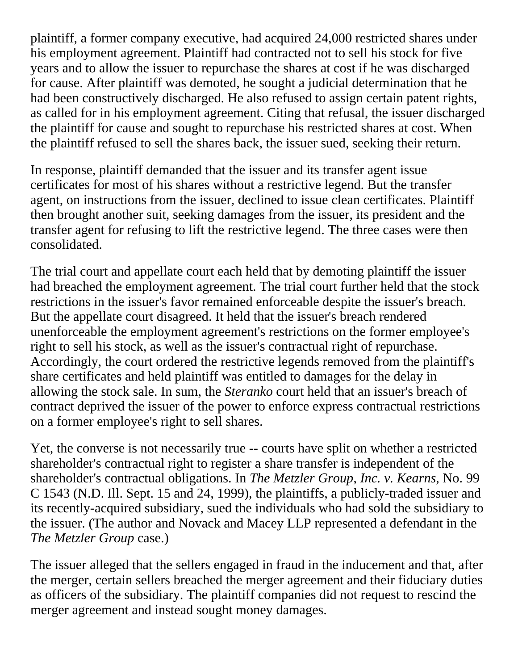plaintiff, a former company executive, had acquired 24,000 restricted shares under his employment agreement. Plaintiff had contracted not to sell his stock for five years and to allow the issuer to repurchase the shares at cost if he was discharged for cause. After plaintiff was demoted, he sought a judicial determination that he had been constructively discharged. He also refused to assign certain patent rights, as called for in his employment agreement. Citing that refusal, the issuer discharged the plaintiff for cause and sought to repurchase his restricted shares at cost. When the plaintiff refused to sell the shares back, the issuer sued, seeking their return.

In response, plaintiff demanded that the issuer and its transfer agent issue certificates for most of his shares without a restrictive legend. But the transfer agent, on instructions from the issuer, declined to issue clean certificates. Plaintiff then brought another suit, seeking damages from the issuer, its president and the transfer agent for refusing to lift the restrictive legend. The three cases were then consolidated.

The trial court and appellate court each held that by demoting plaintiff the issuer had breached the employment agreement. The trial court further held that the stock restrictions in the issuer's favor remained enforceable despite the issuer's breach. But the appellate court disagreed. It held that the issuer's breach rendered unenforceable the employment agreement's restrictions on the former employee's right to sell his stock, as well as the issuer's contractual right of repurchase. Accordingly, the court ordered the restrictive legends removed from the plaintiff's share certificates and held plaintiff was entitled to damages for the delay in allowing the stock sale. In sum, the *Steranko* court held that an issuer's breach of contract deprived the issuer of the power to enforce express contractual restrictions on a former employee's right to sell shares.

Yet, the converse is not necessarily true -- courts have split on whether a restricted shareholder's contractual right to register a share transfer is independent of the shareholder's contractual obligations. In *The Metzler Group, Inc. v. Kearns*, No. 99 C 1543 (N.D. Ill. Sept. 15 and 24, 1999), the plaintiffs, a publicly-traded issuer and its recently-acquired subsidiary, sued the individuals who had sold the subsidiary to the issuer. (The author and Novack and Macey LLP represented a defendant in the *The Metzler Group* case.)

The issuer alleged that the sellers engaged in fraud in the inducement and that, after the merger, certain sellers breached the merger agreement and their fiduciary duties as officers of the subsidiary. The plaintiff companies did not request to rescind the merger agreement and instead sought money damages.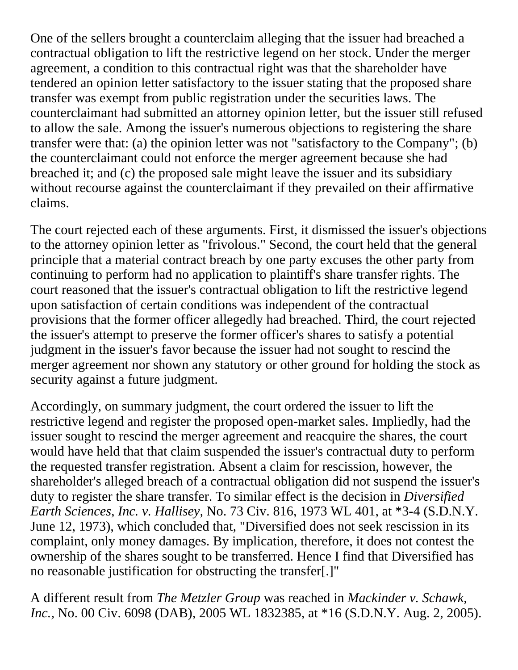One of the sellers brought a counterclaim alleging that the issuer had breached a contractual obligation to lift the restrictive legend on her stock. Under the merger agreement, a condition to this contractual right was that the shareholder have tendered an opinion letter satisfactory to the issuer stating that the proposed share transfer was exempt from public registration under the securities laws. The counterclaimant had submitted an attorney opinion letter, but the issuer still refused to allow the sale. Among the issuer's numerous objections to registering the share transfer were that: (a) the opinion letter was not "satisfactory to the Company"; (b) the counterclaimant could not enforce the merger agreement because she had breached it; and (c) the proposed sale might leave the issuer and its subsidiary without recourse against the counterclaimant if they prevailed on their affirmative claims.

The court rejected each of these arguments. First, it dismissed the issuer's objections to the attorney opinion letter as "frivolous." Second, the court held that the general principle that a material contract breach by one party excuses the other party from continuing to perform had no application to plaintiff's share transfer rights. The court reasoned that the issuer's contractual obligation to lift the restrictive legend upon satisfaction of certain conditions was independent of the contractual provisions that the former officer allegedly had breached. Third, the court rejected the issuer's attempt to preserve the former officer's shares to satisfy a potential judgment in the issuer's favor because the issuer had not sought to rescind the merger agreement nor shown any statutory or other ground for holding the stock as security against a future judgment.

Accordingly, on summary judgment, the court ordered the issuer to lift the restrictive legend and register the proposed open-market sales. Impliedly, had the issuer sought to rescind the merger agreement and reacquire the shares, the court would have held that that claim suspended the issuer's contractual duty to perform the requested transfer registration. Absent a claim for rescission, however, the shareholder's alleged breach of a contractual obligation did not suspend the issuer's duty to register the share transfer. To similar effect is the decision in *Diversified Earth Sciences, Inc. v. Hallisey,* No. 73 Civ. 816, 1973 WL 401, at \*3-4 (S.D.N.Y. June 12, 1973), which concluded that, "Diversified does not seek rescission in its complaint, only money damages. By implication, therefore, it does not contest the ownership of the shares sought to be transferred. Hence I find that Diversified has no reasonable justification for obstructing the transfer[.]"

A different result from *The Metzler Group* was reached in *Mackinder v. Schawk, Inc.,* No. 00 Civ. 6098 (DAB), 2005 WL 1832385, at \*16 (S.D.N.Y. Aug. 2, 2005).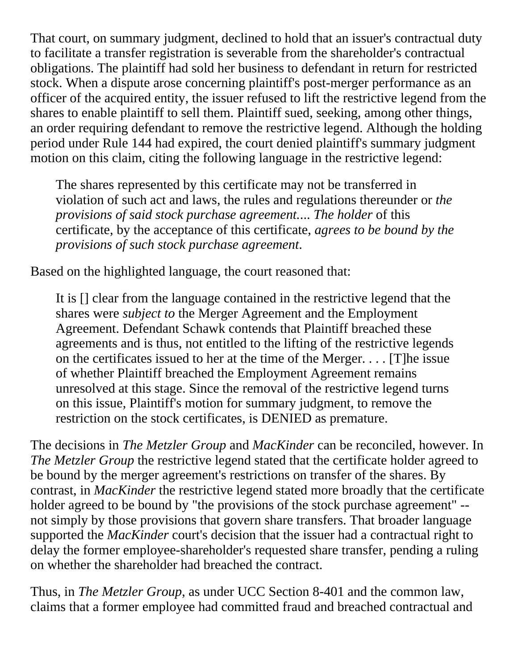That court, on summary judgment, declined to hold that an issuer's contractual duty to facilitate a transfer registration is severable from the shareholder's contractual obligations. The plaintiff had sold her business to defendant in return for restricted stock. When a dispute arose concerning plaintiff's post-merger performance as an officer of the acquired entity, the issuer refused to lift the restrictive legend from the shares to enable plaintiff to sell them. Plaintiff sued, seeking, among other things, an order requiring defendant to remove the restrictive legend. Although the holding period under Rule 144 had expired, the court denied plaintiff's summary judgment motion on this claim, citing the following language in the restrictive legend:

The shares represented by this certificate may not be transferred in violation of such act and laws, the rules and regulations thereunder or *the provisions of said stock purchase agreement.*... *The holder* of this certificate, by the acceptance of this certificate, *agrees to be bound by the provisions of such stock purchase agreement*.

Based on the highlighted language, the court reasoned that:

It is [] clear from the language contained in the restrictive legend that the shares were *subject to* the Merger Agreement and the Employment Agreement. Defendant Schawk contends that Plaintiff breached these agreements and is thus, not entitled to the lifting of the restrictive legends on the certificates issued to her at the time of the Merger. . . . [T]he issue of whether Plaintiff breached the Employment Agreement remains unresolved at this stage. Since the removal of the restrictive legend turns on this issue, Plaintiff's motion for summary judgment, to remove the restriction on the stock certificates, is DENIED as premature.

The decisions in *The Metzler Group* and *MacKinder* can be reconciled, however. In *The Metzler Group* the restrictive legend stated that the certificate holder agreed to be bound by the merger agreement's restrictions on transfer of the shares. By contrast, in *MacKinder* the restrictive legend stated more broadly that the certificate holder agreed to be bound by "the provisions of the stock purchase agreement" - not simply by those provisions that govern share transfers. That broader language supported the *MacKinder* court's decision that the issuer had a contractual right to delay the former employee-shareholder's requested share transfer, pending a ruling on whether the shareholder had breached the contract.

Thus, in *The Metzler Group*, as under UCC Section 8-401 and the common law, claims that a former employee had committed fraud and breached contractual and